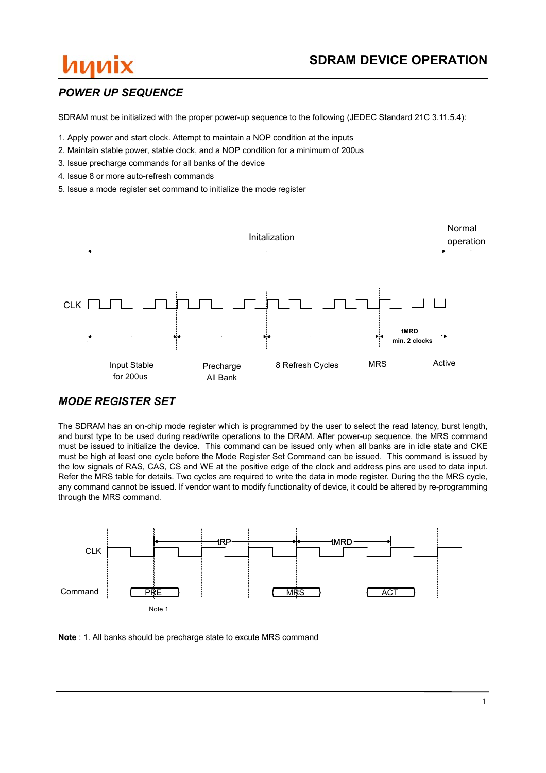# **SDRAM DEVICE OPERATION**

# *POWER UP SEQUENCE*

SDRAM must be initialized with the proper power-up sequence to the following (JEDEC Standard 21C 3.11.5.4):

- 1. Apply power and start clock. Attempt to maintain a NOP condition at the inputs
- 2. Maintain stable power, stable clock, and a NOP condition for a minimum of 200us
- 3. Issue precharge commands for all banks of the device
- 4. Issue 8 or more auto-refresh commands
- 5. Issue a mode register set command to initialize the mode register



# *MODE REGISTER SET*

The SDRAM has an on-chip mode register which is programmed by the user to select the read latency, burst length, and burst type to be used during read/write operations to the DRAM. After power-up sequence, the MRS command must be issued to initialize the device. This command can be issued only when all banks are in idle state and CKE must be high at least one cycle before the Mode Register Set Command can be issued. This command is issued by the low signals of  $\overline{RAS}$ ,  $\overline{CAS}$ ,  $\overline{CS}$  and  $\overline{WE}$  at the positive edge of the clock and address pins are used to data input. Refer the MRS table for details. Two cycles are required to write the data in mode register. During the the MRS cycle, any command cannot be issued. If vendor want to modify functionality of device, it could be altered by re-programming through the MRS command.



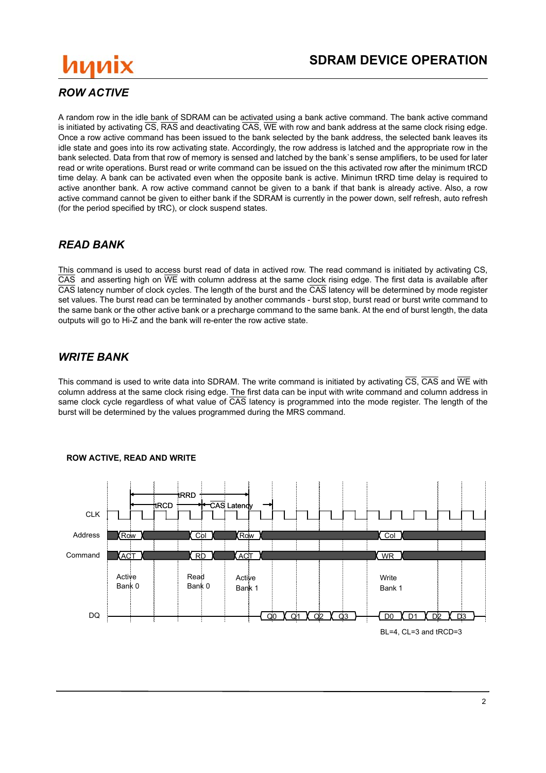

# *ROW ACTIVE*

A random row in the idle bank of SDRAM can be activated using a bank active command. The bank active command is initiated by activating  $\overline{CS}$ ,  $\overline{RAS}$  and deactivating  $\overline{CAS}$ , WE with row and bank address at the same clock rising edge. Once a row active command has been issued to the bank selected by the bank address, the selected bank leaves its idle state and goes into its row activating state. Accordingly, the row address is latched and the appropriate row in the bank selected. Data from that row of memory is sensed and latched by the bank`s sense amplifiers, to be used for later read or write operations. Burst read or write command can be issued on the this activated row after the minimum tRCD time delay. A bank can be activated even when the opposite bank is active. Minimun tRRD time delay is required to active anonther bank. A row active command cannot be given to a bank if that bank is already active. Also, a row active command cannot be given to either bank if the SDRAM is currently in the power down, self refresh, auto refresh (for the period specified by tRC), or clock suspend states.

# *READ BANK*

This command is used to access burst read of data in actived row. The read command is initiated by activating CS,  $\overline{CAS}$  and asserting high on  $\overline{WE}$  with column address at the same clock rising edge. The first data is available after  $\overline{CAS}$  latency number of clock cycles. The length of the burst and the  $\overline{CAS}$  latency will be determined by mode register set values. The burst read can be terminated by another commands - burst stop, burst read or burst write command to the same bank or the other active bank or a precharge command to the same bank. At the end of burst length, the data outputs will go to Hi-Z and the bank will re-enter the row active state.

# *WRITE BANK*

This command is used to write data into SDRAM. The write command is initiated by activating  $\overline{CS}$ ,  $\overline{CAS}$  and  $\overline{WE}$  with column address at the same clock rising edge. The first data can be input with write command and column address in same clock cycle regardless of what value of CAS latency is programmed into the mode register. The length of the burst will be determined by the values programmed during the MRS command.



### **ROW ACTIVE, READ AND WRITE**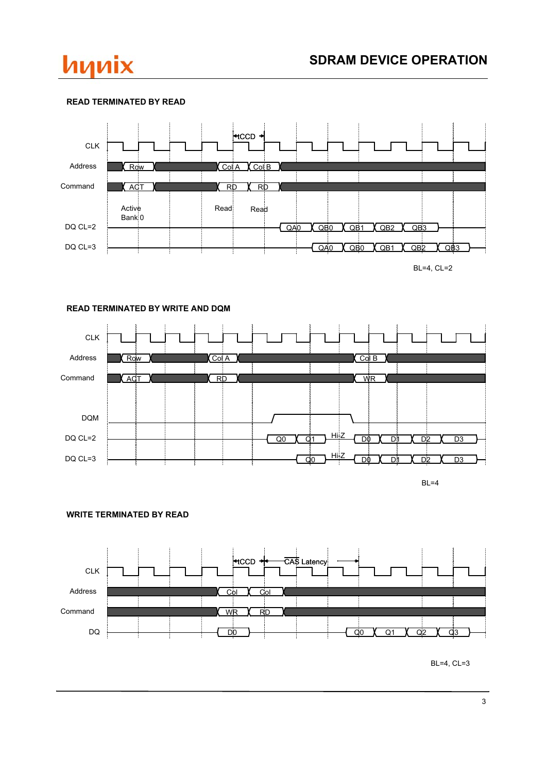

### **READ TERMINATED BY READ**





**READ TERMINATED BY WRITE AND DQM**

 $BL=4$ 





BL=4, CL=3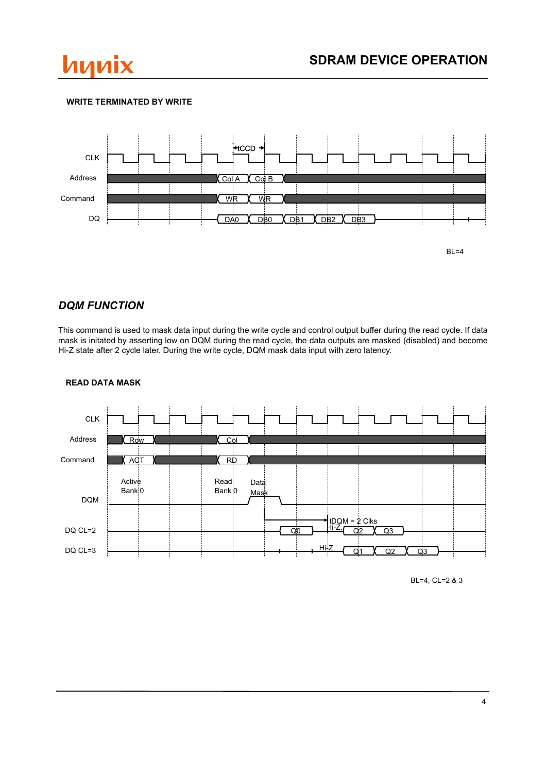

### **WRITE TERMINATED BY WRITE**



### *DQM FUNCTION*

This command is used to mask data input during the write cycle and control output buffer during the read cycle. If data mask is initated by asserting low on DQM during the read cycle, the data outputs are masked (disabled) and become Hi-Z state after 2 cycle later. During the write cycle, DQM mask data input with zero latency.



### **READ DATA MASK**

BL=4, CL=2 & 3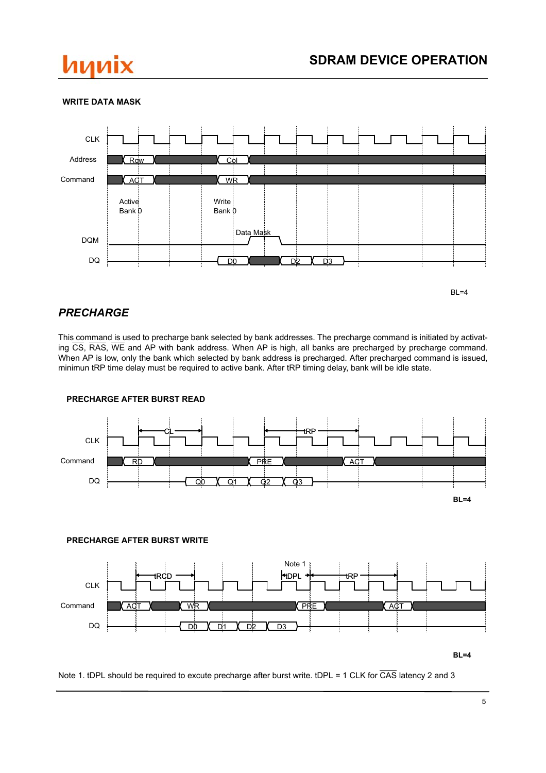# ИИИІХ

### **WRITE DATA MASK**



 $BI = 4$ 

### *PRECHARGE*

This command is used to precharge bank selected by bank addresses. The precharge command is initiated by activating CS, RAS, WE and AP with bank address. When AP is high, all banks are precharged by precharge command. When AP is low, only the bank which selected by bank address is precharged. After precharged command is issued, minimun tRP time delay must be required to active bank. After tRP timing delay, bank will be idle state.

л. л. л. л. H. . ш × × × л , п ш ٠ ٠ ٠ . . л. ⇁ л. H. . . ٠ ٠ ٠ Ш . . п ш J. ш ٠ ٠ ٠ ٠ Ш ٠ RD X PRE X PRE X ACT Q0 X Q11 X Q2 X Q3 CL → I t<del>ri</del>nRP CLK Command DQ **BL=4**

**PRECHARGE AFTER BURST WRITE**

**PRECHARGE AFTER BURST READ**



Note 1. tDPL should be required to excute precharge after burst write. tDPL = 1 CLK for CAS latency 2 and 3

٠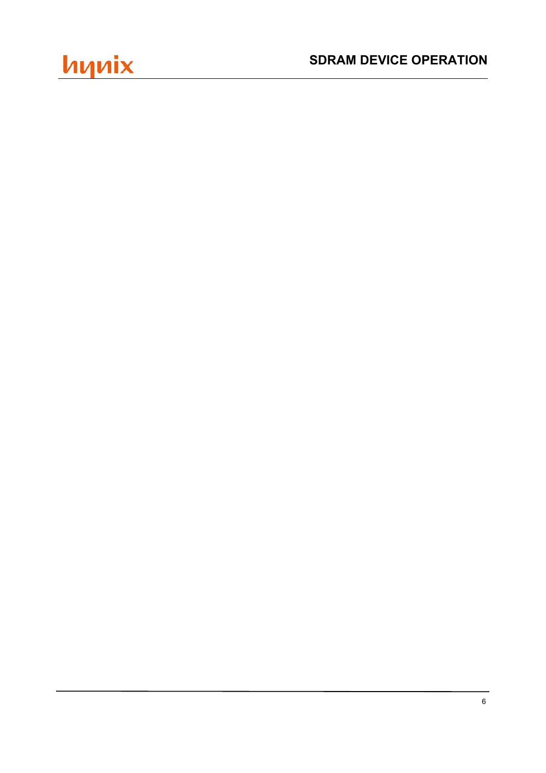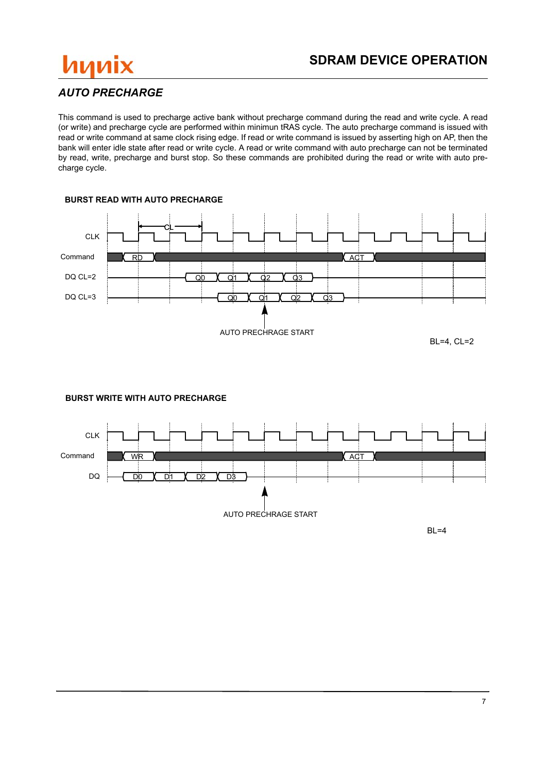# *AUTO PRECHARGE*

This command is used to precharge active bank without precharge command during the read and write cycle. A read (or write) and precharge cycle are performed within minimun tRAS cycle. The auto precharge command is issued with read or write command at same clock rising edge. If read or write command is issued by asserting high on AP, then the bank will enter idle state after read or write cycle. A read or write command with auto precharge can not be terminated by read, write, precharge and burst stop. So these commands are prohibited during the read or write with auto precharge cycle.



### **BURST WRITE WITH AUTO PRECHARGE**



 $BL = 4$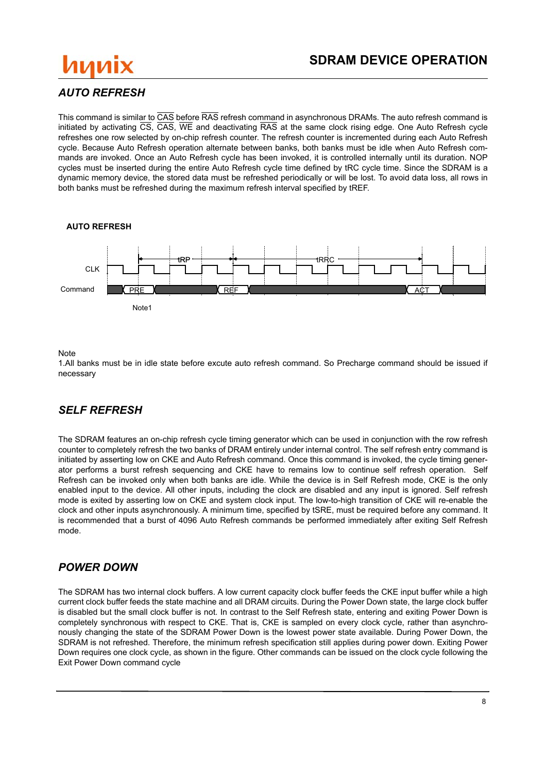# *AUTO REFRESH*

This command is similar to CAS before RAS refresh command in asynchronous DRAMs. The auto refresh command is initiated by activating  $\overline{\text{CS}}$ ,  $\overline{\text{CAS}}$ ,  $\overline{\text{WE}}$  and deactivating  $\overline{\text{RAS}}$  at the same clock rising edge. One Auto Refresh cycle refreshes one row selected by on-chip refresh counter. The refresh counter is incremented during each Auto Refresh cycle. Because Auto Refresh operation alternate between banks, both banks must be idle when Auto Refresh commands are invoked. Once an Auto Refresh cycle has been invoked, it is controlled internally until its duration. NOP cycles must be inserted during the entire Auto Refresh cycle time defined by tRC cycle time. Since the SDRAM is a dynamic memory device, the stored data must be refreshed periodically or will be lost. To avoid data loss, all rows in both banks must be refreshed during the maximum refresh interval specified by tREF.



### **Note**

1.All banks must be in idle state before excute auto refresh command. So Precharge command should be issued if necessary

# *SELF REFRESH*

The SDRAM features an on-chip refresh cycle timing generator which can be used in conjunction with the row refresh counter to completely refresh the two banks of DRAM entirely under internal control. The self refresh entry command is initiated by asserting low on CKE and Auto Refresh command. Once this command is invoked, the cycle timing generator performs a burst refresh sequencing and CKE have to remains low to continue self refresh operation. Self Refresh can be invoked only when both banks are idle. While the device is in Self Refresh mode, CKE is the only enabled input to the device. All other inputs, including the clock are disabled and any input is ignored. Self refresh mode is exited by asserting low on CKE and system clock input. The low-to-high transition of CKE will re-enable the clock and other inputs asynchronously. A minimum time, specified by tSRE, must be required before any command. It is recommended that a burst of 4096 Auto Refresh commands be performed immediately after exiting Self Refresh mode.

# *POWER DOWN*

The SDRAM has two internal clock buffers. A low current capacity clock buffer feeds the CKE input buffer while a high current clock buffer feeds the state machine and all DRAM circuits. During the Power Down state, the large clock buffer is disabled but the small clock buffer is not. In contrast to the Self Refresh state, entering and exiting Power Down is completely synchronous with respect to CKE. That is, CKE is sampled on every clock cycle, rather than asynchronously changing the state of the SDRAM Power Down is the lowest power state available. During Power Down, the SDRAM is not refreshed. Therefore, the minimum refresh specification still applies during power down. Exiting Power Down requires one clock cycle, as shown in the figure. Other commands can be issued on the clock cycle following the Exit Power Down command cycle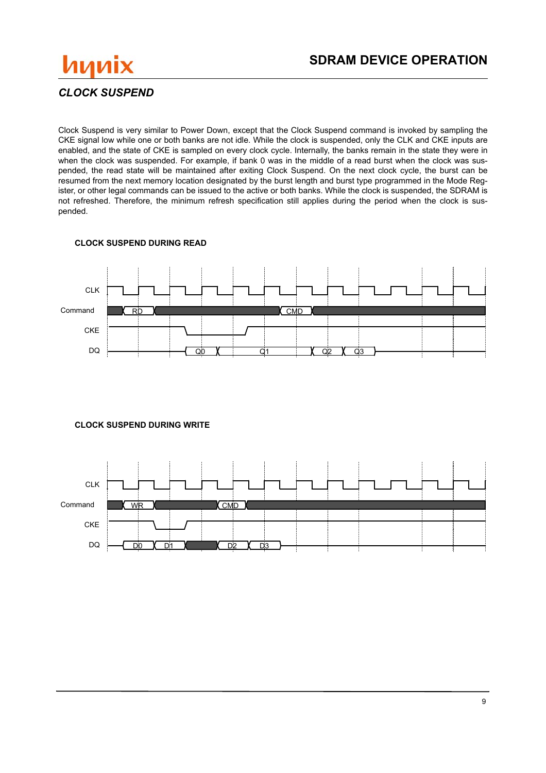

### *CLOCK SUSPEND*

Clock Suspend is very similar to Power Down, except that the Clock Suspend command is invoked by sampling the CKE signal low while one or both banks are not idle. While the clock is suspended, only the CLK and CKE inputs are enabled, and the state of CKE is sampled on every clock cycle. Internally, the banks remain in the state they were in when the clock was suspended. For example, if bank 0 was in the middle of a read burst when the clock was suspended, the read state will be maintained after exiting Clock Suspend. On the next clock cycle, the burst can be resumed from the next memory location designated by the burst length and burst type programmed in the Mode Register, or other legal commands can be issued to the active or both banks. While the clock is suspended, the SDRAM is not refreshed. Therefore, the minimum refresh specification still applies during the period when the clock is suspended.





**CLOCK SUSPEND DURING WRITE**

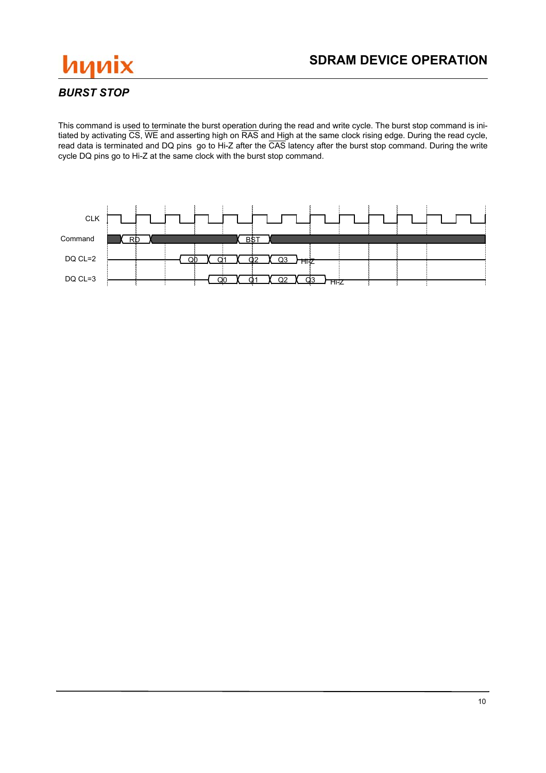



# *BURST STOP*

This command is used to terminate the burst operation during the read and write cycle. The burst stop command is initiated by activating CS, WE and asserting high on RAS and High at the same clock rising edge. During the read cycle, read data is terminated and DQ pins go to Hi-Z after the CAS latency after the burst stop command. During the write cycle DQ pins go to Hi-Z at the same clock with the burst stop command.

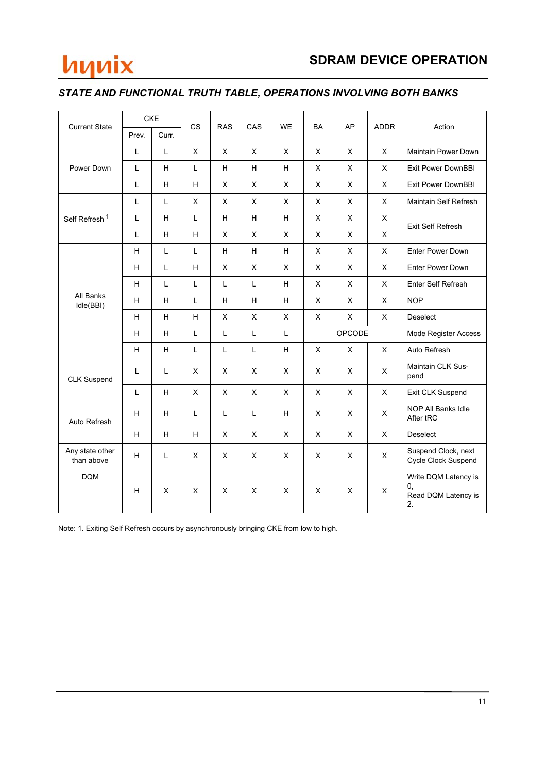



# *STATE AND FUNCTIONAL TRUTH TABLE, OPERATIONS INVOLVING BOTH BANKS*

| <b>Current State</b>          | CKE   |              | $\overline{\text{CS}}$ | <b>RAS</b>   | CAS | WE       | <b>BA</b> | AP           | <b>ADDR</b> | Action                                                  |  |
|-------------------------------|-------|--------------|------------------------|--------------|-----|----------|-----------|--------------|-------------|---------------------------------------------------------|--|
|                               | Prev. | Curr.        |                        |              |     |          |           |              |             |                                                         |  |
|                               | L     | $\mathsf{L}$ | X                      | X            | X   | $\times$ | X         | X            | X           | <b>Maintain Power Down</b>                              |  |
| Power Down                    | L     | H            | L.                     | H            | H   | H        | X.        | $\mathsf{X}$ | X           | Exit Power DownBBI                                      |  |
|                               | L     | H            | H                      | X            | X   | $\times$ | X         | $\mathsf{X}$ | X           | Exit Power DownBBI                                      |  |
|                               | L     | L            | X                      | X            | X   | X        | X         | $\mathsf{X}$ | X           | Maintain Self Refresh                                   |  |
| Self Refresh <sup>1</sup>     | L     | H            | L.                     | H            | H   | H        | X         | $\times$     | $\times$    |                                                         |  |
|                               | L     | H.           | H.                     | X            | X   | X        | X         | $\mathsf{X}$ | $\times$    | Exit Self Refresh                                       |  |
|                               | н     | L            | L                      | H            | H   | H        | X.        | X            | X           | Enter Power Down                                        |  |
|                               | H     | L            | H.                     | X            | X   | X        | X         | $\mathsf{X}$ | X           | Enter Power Down                                        |  |
|                               | H     | L            | L                      | L            | L   | H        | X         | X            | X           | Enter Self Refresh                                      |  |
| All Banks<br>Idle(BBI)        | H     | H            | L.                     | H            | H   | H        | X         | X            | $\times$    | <b>NOP</b>                                              |  |
|                               | H     | H            | H                      | X            | X   | X        | X         | X            | X           | Deselect                                                |  |
|                               | H     | H            | L.                     | L            | Г   | L.       | OPCODE    |              |             | Mode Register Access                                    |  |
|                               | H     | H            | L                      | $\mathsf{L}$ | L   | н        | X         | X            | X           | Auto Refresh                                            |  |
| <b>CLK Suspend</b>            | L     | L            | X                      | X            | X   | X        | X         | X            | X           | Maintain CLK Sus-<br>pend                               |  |
|                               | L.    | H            | X                      | X            | X   | X        | X         | X            | X           | Exit CLK Suspend                                        |  |
| Auto Refresh                  | H     | H            | L                      | Г            | Г   | H        | X         | X            | X           | NOP All Banks Idle<br>After tRC                         |  |
|                               | H     | H            | H                      | X            | X   | X        | X         | X            | X           | <b>Deselect</b>                                         |  |
| Any state other<br>than above | H     | L            | X                      | X            | X   | X        | X         | X            | X           | Suspend Clock, next<br>Cycle Clock Suspend              |  |
| <b>DQM</b>                    | H     | X            | X                      | X            | X   | X        | X         | X            | X           | Write DQM Latency is<br>0.<br>Read DQM Latency is<br>2. |  |

Note: 1. Exiting Self Refresh occurs by asynchronously bringing CKE from low to high.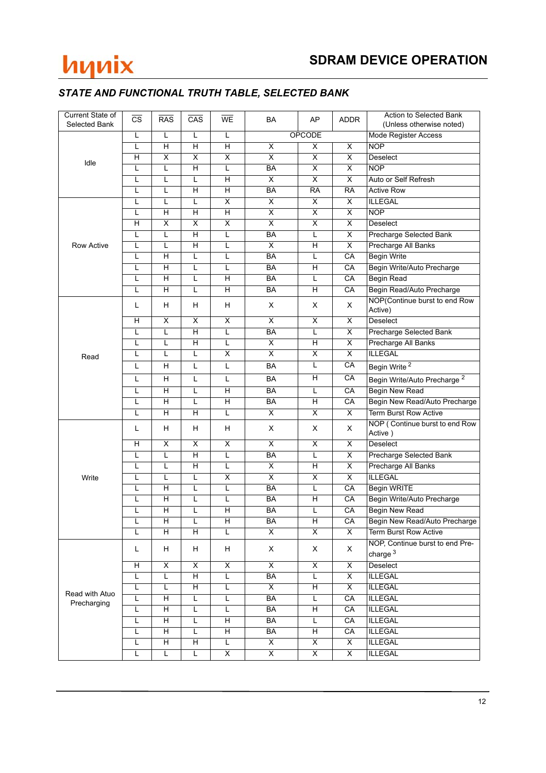

### *STATE AND FUNCTIONAL TRUTH TABLE, SELECTED BANK*

| Current State of<br>Selected Bank | $\overline{\text{cs}}$ | <b>RAS</b>              | CAS                     | WE                      | BA                      | AP                      | <b>ADDR</b>             | Action to Selected Bank<br>(Unless otherwise noted)    |
|-----------------------------------|------------------------|-------------------------|-------------------------|-------------------------|-------------------------|-------------------------|-------------------------|--------------------------------------------------------|
|                                   | L                      | Г                       | L                       | Г                       |                         | <b>OPCODE</b>           |                         | Mode Register Access                                   |
|                                   | L                      | Η                       | $\overline{H}$          | $\overline{H}$          | $\overline{\mathsf{x}}$ | $\overline{\mathsf{X}}$ | $\overline{\mathsf{x}}$ | <b>NOP</b>                                             |
| Idle                              | Η                      | X                       | $\overline{\mathsf{x}}$ | $\overline{\mathsf{X}}$ | $\overline{X}$          | Χ                       | $\overline{\mathsf{x}}$ | Deselect                                               |
|                                   | Г                      | Г                       | H                       | Г                       | BA                      | $\overline{\mathsf{X}}$ | $\overline{\mathsf{x}}$ | <b>NOP</b>                                             |
|                                   | Г                      | Г                       | L                       | Н                       | $\overline{\mathsf{X}}$ | $\overline{\mathsf{X}}$ | $\overline{\mathsf{x}}$ | Auto or Self Refresh                                   |
|                                   | Г                      | Г                       | H                       | Н                       | BA                      | RA                      | <b>RA</b>               | <b>Active Row</b>                                      |
|                                   | Г                      | Г                       | L                       | $\overline{\mathsf{x}}$ | $\overline{\mathsf{x}}$ | $\overline{\mathsf{X}}$ | $\overline{\mathsf{x}}$ | <b>ILLEGAL</b>                                         |
|                                   | L                      | Η                       | $\overline{H}$          | $\overline{H}$          | χ                       | Χ                       | $\overline{\mathsf{X}}$ | <b>NOP</b>                                             |
|                                   | H                      | X                       | $\overline{\mathsf{x}}$ | $\overline{\mathsf{X}}$ | χ                       | Χ                       | $\overline{\mathsf{X}}$ | Deselect                                               |
|                                   | Г                      | Г                       | H                       | Г                       | BA                      | L                       | $\overline{\mathsf{x}}$ | Precharge Selected Bank                                |
| <b>Row Active</b>                 | Г                      | Г                       | Н                       | Г                       | $\overline{\mathsf{X}}$ | $\overline{\mathsf{H}}$ | $\overline{\mathsf{x}}$ | Precharge All Banks                                    |
|                                   | Г                      | Η                       | L                       | Г                       | BA                      | L                       | CA                      | <b>Begin Write</b>                                     |
|                                   | τ                      | Ή                       | Г                       | τ                       | <b>BA</b>               | Ή                       | CA                      | Begin Write/Auto Precharge                             |
|                                   | τ                      | Ή                       | Г                       | Η                       | <b>BA</b>               | τ                       | CA                      | <b>Begin Read</b>                                      |
|                                   | τ                      | Ή                       | Г                       | Η                       | <b>BA</b>               | Η                       | CA                      | Begin Read/Auto Precharge                              |
|                                   | L                      | H                       | н                       | H                       | X                       | X                       | X                       | NOP(Continue burst to end Row<br>Active)               |
|                                   | H                      | $\overline{\mathsf{x}}$ | $\overline{\mathsf{x}}$ | χ                       | $\overline{X}$          | $\overline{\mathsf{X}}$ | $\overline{\mathsf{x}}$ | <b>Deselect</b>                                        |
|                                   | L                      | L                       | $\overline{H}$          | L                       | <b>BA</b>               | $\overline{L}$          | $\overline{\mathsf{x}}$ | Precharge Selected Bank                                |
|                                   | L                      | L                       | $\overline{\mathsf{H}}$ | L                       | $\overline{X}$          | $\overline{H}$          | $\overline{\mathsf{x}}$ | Precharge All Banks                                    |
| Read                              | Г                      | L                       | L                       | $\overline{\mathsf{X}}$ | $\overline{X}$          | Χ                       | $\overline{\mathsf{x}}$ | <b>ILLEGAL</b>                                         |
|                                   | Г                      | Η                       | L                       | Г                       | <b>BA</b>               | L                       | CA                      | Begin Write <sup>2</sup>                               |
|                                   | Г                      | Η                       | L                       | L                       | <b>BA</b>               | Η                       | CA                      | Begin Write/Auto Precharge <sup>2</sup>                |
|                                   | L                      | Η                       | L                       | Ξ                       | <b>BA</b>               | Г                       | CA                      | <b>Begin New Read</b>                                  |
|                                   | L                      | Η                       | L                       | Ξ                       | <b>BA</b>               | Ξ                       | CA                      | Begin New Read/Auto Precharge                          |
|                                   | L                      | Η                       | $\overline{H}$          | L                       | $\overline{\mathsf{x}}$ | Χ                       | $\overline{\mathsf{x}}$ | <b>Term Burst Row Active</b>                           |
|                                   | L                      | н                       | н                       | H                       | X                       | X                       | X                       | NOP (Continue burst to end Row<br>Active)              |
|                                   | Н                      | $\overline{\mathsf{x}}$ | $\overline{X}$          | $\overline{\mathsf{X}}$ | $\overline{\mathsf{x}}$ | $\overline{\mathsf{x}}$ | $\overline{X}$          | Deselect                                               |
|                                   | L                      | Г                       | $\overline{H}$          | L                       | <b>BA</b>               | L                       | $\overline{X}$          | Precharge Selected Bank                                |
|                                   | L                      | Г                       | $\overline{H}$          | L                       | $\overline{\mathsf{x}}$ | $\overline{H}$          | $\overline{X}$          | Precharge All Banks                                    |
| Write                             | L                      | Г                       | Г                       | $\overline{\mathsf{X}}$ | $\overline{X}$          | $\overline{\mathsf{X}}$ | $\overline{\mathsf{x}}$ | <b>ILLEGAL</b>                                         |
|                                   | L                      | Η                       | Г                       | $\overline{L}$          | <b>BA</b>               | L                       | CA                      | <b>Begin WRITE</b>                                     |
|                                   | L                      | Η                       | L                       | τ                       | <b>BA</b>               | Η                       | CA                      | Begin Write/Auto Precharge                             |
|                                   | L                      | Η                       | L                       | Η                       | <b>BA</b>               | L                       | CA                      | <b>Begin New Read</b>                                  |
|                                   | L                      | Η                       | L                       | Η                       | BA                      | Η                       | CA                      | Begin New Read/Auto Precharge                          |
|                                   | τ                      | Ή                       | $\overline{\mathsf{H}}$ | τ                       | $\overline{\mathsf{x}}$ | χ                       | $\overline{\mathsf{x}}$ | Term Burst Row Active                                  |
|                                   | L                      | н                       | H                       | H                       | $\pmb{\times}$          | X                       | Χ                       | NOP, Continue burst to end Pre-<br>charge <sup>3</sup> |
|                                   | H                      | X                       | X                       | X                       | $\overline{\mathsf{x}}$ | X                       | X                       | Deselect                                               |
|                                   | L                      | L                       | $\overline{H}$          | Г                       | BA                      | Г                       | $\overline{\mathsf{x}}$ | <b>ILLEGAL</b>                                         |
|                                   | τ                      | L                       | $\overline{H}$          | L                       | $\overline{\mathsf{x}}$ | Ή                       | $\overline{\mathsf{x}}$ | <b>ILLEGAL</b>                                         |
| Read with Atuo<br>Precharging     | L                      | Ή                       | Г                       | L                       | BA                      | L                       | CA                      | <b>ILLEGAL</b>                                         |
|                                   | L                      | Ή                       | Г                       | L                       | BA                      | Ή                       | CA                      | <b>ILLEGAL</b>                                         |
|                                   | Г                      | Η                       | Г                       | Ξ                       | <b>BA</b>               | L                       | CA                      | <b>ILLEGAL</b>                                         |
|                                   | L                      | н                       | Г                       | Ξ                       | <b>BA</b>               | Η                       | CA                      | <b>ILLEGAL</b>                                         |
|                                   | Г                      | Η                       | $\overline{H}$          | L                       | $\overline{\mathsf{x}}$ | $\overline{\mathsf{x}}$ | X                       | <b>ILLEGAL</b>                                         |
|                                   | L                      | Г                       | L                       | Χ                       | $\overline{\mathsf{x}}$ | X                       | $\overline{\mathsf{x}}$ | <b>ILLEGAL</b>                                         |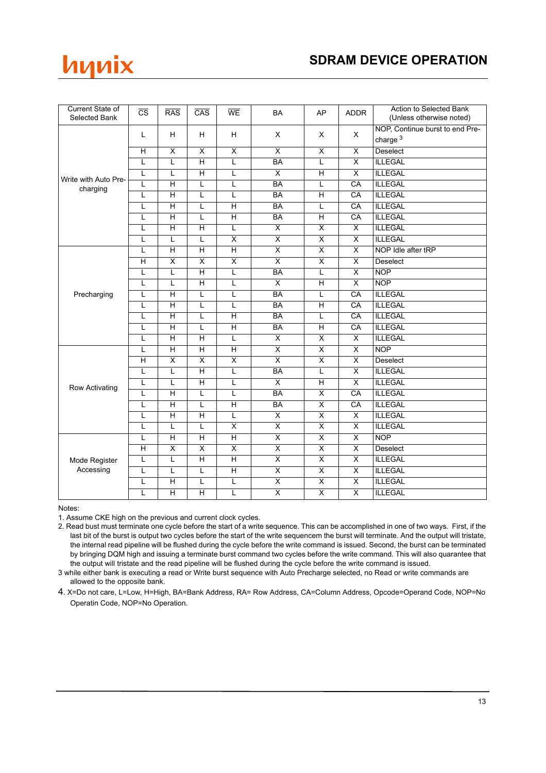# **SDRAM DEVICE OPERATION**

| Current State of<br>Selected Bank | $\overline{\text{cs}}$ | <b>RAS</b>              | $\overline{CAS}$        | <b>WE</b>               | BA                      | AP                      | <b>ADDR</b>             | Action to Selected Bank<br>(Unless otherwise noted)    |
|-----------------------------------|------------------------|-------------------------|-------------------------|-------------------------|-------------------------|-------------------------|-------------------------|--------------------------------------------------------|
|                                   | L                      | H.                      | H                       | H                       | X                       | X                       | X                       | NOP, Continue burst to end Pre-<br>charge <sup>3</sup> |
|                                   | $\overline{H}$         | X                       | $\overline{\mathsf{x}}$ | $\overline{\mathsf{x}}$ | $\overline{\mathsf{x}}$ | χ                       | $\overline{\mathsf{x}}$ | <b>Deselect</b>                                        |
|                                   | L                      | L                       | Η                       | L                       | BA                      | L                       | X                       | <b>ILLEGAL</b>                                         |
|                                   | L                      | Г                       | $\overline{H}$          | Г                       | $\times$                | $\overline{H}$          | X                       | <b>ILLEGAL</b>                                         |
| Write with Auto Pre-<br>charging  | L                      | Η                       | L                       | L                       | BA                      | Г                       | CA                      | <b>ILLEGAL</b>                                         |
|                                   | Г                      | Η                       | L                       | L                       | BA                      | $\overline{H}$          | CA                      | <b>ILLEGAL</b>                                         |
|                                   | Г                      | $\overline{H}$          | L                       | $\overline{H}$          | BA                      | L                       | CA                      | <b>ILLEGAL</b>                                         |
|                                   | L                      | $\overline{H}$          | L                       | $\overline{H}$          | <b>BA</b>               | $\overline{H}$          | CA                      | <b>ILLEGAL</b>                                         |
|                                   | L                      | $\overline{H}$          | Η                       | L                       | $\overline{\mathsf{x}}$ | X                       | $\overline{\mathsf{x}}$ | <b>ILLEGAL</b>                                         |
|                                   | L                      | Г                       | L                       | $\overline{\mathsf{x}}$ | X                       | X                       | $\overline{\mathsf{x}}$ | <b>ILLEGAL</b>                                         |
|                                   | L                      | $\overline{\mathsf{H}}$ | $\overline{\mathsf{H}}$ | Η                       | $\overline{\mathsf{x}}$ | χ                       | χ                       | NOP Idle after tRP                                     |
|                                   | $\overline{H}$         | $\overline{\mathsf{x}}$ | $\overline{\mathsf{x}}$ | $\overline{\mathsf{x}}$ | $\overline{\mathsf{x}}$ | χ                       | $\overline{\mathsf{x}}$ | Deselect                                               |
|                                   | Г                      | Г                       | $\overline{H}$          | L                       | <b>BA</b>               | L                       | X                       | <b>NOP</b>                                             |
|                                   | L                      | Г                       | Η                       | L                       | $\overline{\mathsf{x}}$ | Η                       | $\overline{\mathsf{x}}$ | <b>NOP</b>                                             |
| Precharging                       | L                      | $\overline{H}$          | L                       | Г                       | BA                      | L                       | CA                      | <b>ILLEGAL</b>                                         |
|                                   | Г                      | $\overline{H}$          | L                       | L                       | BA                      | $\overline{H}$          | CA                      | <b>ILLEGAL</b>                                         |
|                                   | L                      | $\overline{H}$          | L                       | H                       | <b>BA</b>               | Г                       | CA                      | <b>ILLEGAL</b>                                         |
|                                   | Г                      | $\overline{\mathsf{H}}$ | Г                       | $\overline{\mathsf{H}}$ | BA                      | $\overline{H}$          | CA                      | <b>ILLEGAL</b>                                         |
|                                   | L                      | Ή                       | $\overline{H}$          | L                       | $\overline{\mathsf{x}}$ | χ                       | χ                       | <b>ILLEGAL</b>                                         |
|                                   | L                      | $\overline{H}$          | Η                       | $\overline{\mathsf{H}}$ | $\overline{\mathsf{x}}$ | χ                       | X                       | <b>NOP</b>                                             |
|                                   | $\overline{H}$         | $\overline{\mathsf{x}}$ | χ                       | Χ                       | $\overline{\mathsf{x}}$ | Χ                       | χ                       | <b>Deselect</b>                                        |
|                                   | L                      | L                       | $\overline{\mathsf{H}}$ | L                       | BA                      | L                       | $\overline{\mathsf{x}}$ | <b>ILLEGAL</b>                                         |
| Row Activating                    | Г                      | Г                       | Н                       | L                       | X                       | H                       | χ                       | <b>ILLEGAL</b>                                         |
|                                   | Г                      | $\overline{H}$          | L                       | L                       | BA                      | χ                       | CA                      | <b>ILLEGAL</b>                                         |
|                                   | L                      | $\overline{H}$          | L                       | Η                       | BA                      | χ                       | CA                      | <b>ILLEGAL</b>                                         |
|                                   | L                      | $\overline{H}$          | $\overline{H}$          | L                       | $\overline{\mathsf{x}}$ | $\overline{\mathsf{x}}$ | X                       | <b>ILLEGAL</b>                                         |
|                                   | L                      | Г                       | L                       | X                       | X                       | X                       | X                       | <b>ILLEGAL</b>                                         |
|                                   | L                      | $\overline{H}$          | $\overline{H}$          | $\overline{H}$          | $\overline{\mathsf{x}}$ | X                       | X                       | <b>NOP</b>                                             |
| Mode Register                     | Η                      | χ                       | $\overline{\mathsf{x}}$ | χ                       | $\overline{\mathsf{x}}$ | $\overline{\mathsf{x}}$ | $\overline{\mathsf{x}}$ | <b>Deselect</b>                                        |
|                                   | Г                      | Г                       | $\overline{H}$          | $\overline{H}$          | X                       | X                       | X                       | <b>ILLEGAL</b>                                         |
| Accessing                         | Г                      | Г                       | L                       | $\overline{H}$          | $\overline{\mathsf{x}}$ | $\overline{\mathsf{x}}$ | X                       | <b>ILLEGAL</b>                                         |
|                                   | Г                      | $\overline{H}$          | L                       | L                       | χ                       | Χ                       | X                       | <b>ILLEGAL</b>                                         |
|                                   | L                      | H                       | Η                       | L                       | X                       | X                       | $\overline{\mathsf{x}}$ | <b>ILLEGAL</b>                                         |

### Notes:

hunix

1. Assume CKE high on the previous and current clock cycles.

2. Read bust must terminate one cycle before the start of a write sequence. This can be accomplished in one of two ways. First, if the last bit of the burst is output two cycles before the start of the write sequencem the burst will terminate. And the output will tristate, the internal read pipeline will be flushed during the cycle before the write command is issued. Second, the burst can be terminated by bringing DQM high and issuing a terminate burst command two cycles before the write command. This will also quarantee that the output will tristate and the read pipeline will be flushed during the cycle before the write command is issued.

3 while either bank is executing a read or Write burst sequence with Auto Precharge selected, no Read or write commands are allowed to the opposite bank.

4. X=Do not care, L=Low, H=High, BA=Bank Address, RA= Row Address, CA=Column Address, Opcode=Operand Code, NOP=No Operatin Code, NOP=No Operation.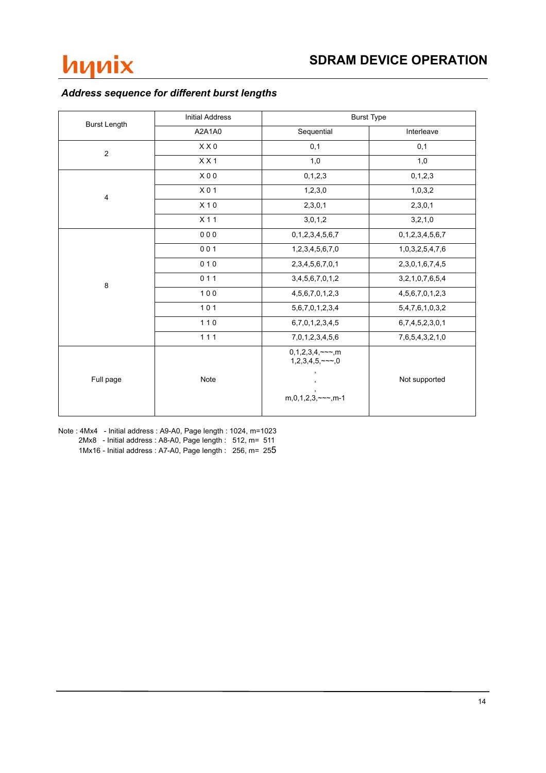

# *Address sequence for different burst lengths*

| <b>Burst Length</b> | <b>Initial Address</b> | <b>Burst Type</b>                                                                      |                        |  |  |  |  |
|---------------------|------------------------|----------------------------------------------------------------------------------------|------------------------|--|--|--|--|
|                     | A2A1A0                 | Sequential                                                                             | Interleave             |  |  |  |  |
| $\overline{2}$      | X X 0                  | 0,1                                                                                    | 0,1                    |  |  |  |  |
|                     | X X 1                  | 1,0                                                                                    | 1,0                    |  |  |  |  |
|                     | $X$ 00                 | 0, 1, 2, 3                                                                             | 0, 1, 2, 3             |  |  |  |  |
| 4                   | $X$ 01                 | 1, 2, 3, 0                                                                             | 1,0,3,2                |  |  |  |  |
|                     | X <sub>10</sub>        | 2,3,0,1                                                                                | 2,3,0,1                |  |  |  |  |
|                     | X 1 1                  | 3,0,1,2                                                                                | 3, 2, 1, 0             |  |  |  |  |
|                     | 000                    | 0, 1, 2, 3, 4, 5, 6, 7                                                                 | 0, 1, 2, 3, 4, 5, 6, 7 |  |  |  |  |
|                     | 001                    | 1,2,3,4,5,6,7,0                                                                        | 1,0,3,2,5,4,7,6        |  |  |  |  |
|                     | 010                    | 2, 3, 4, 5, 6, 7, 0, 1                                                                 | 2, 3, 0, 1, 6, 7, 4, 5 |  |  |  |  |
| 8                   | 011                    | 3,4,5,6,7,0,1,2                                                                        | 3, 2, 1, 0, 7, 6, 5, 4 |  |  |  |  |
|                     | 100                    | 4, 5, 6, 7, 0, 1, 2, 3                                                                 | 4, 5, 6, 7, 0, 1, 2, 3 |  |  |  |  |
|                     | 101                    | 5, 6, 7, 0, 1, 2, 3, 4                                                                 | 5,4,7,6,1,0,3,2        |  |  |  |  |
|                     | $110$                  | 6,7,0,1,2,3,4,5                                                                        | 6,7,4,5,2,3,0,1        |  |  |  |  |
|                     | 111                    | 7,0,1,2,3,4,5,6                                                                        | 7,6,5,4,3,2,1,0        |  |  |  |  |
| Full page           | Note                   | $0, 1, 2, 3, 4, \sim \sim, m$<br>$1,2,3,4,5,\sim 0$<br>$m, 0, 1, 2, 3, \sim \sim, m-1$ | Not supported          |  |  |  |  |
|                     |                        |                                                                                        |                        |  |  |  |  |

Note : 4Mx4 - Initial address : A9-A0, Page length : 1024, m=1023 2Mx8 - Initial address : A8-A0, Page length : 512, m= 511 1Mx16 - Initial address : A7-A0, Page length : 256, m= 255